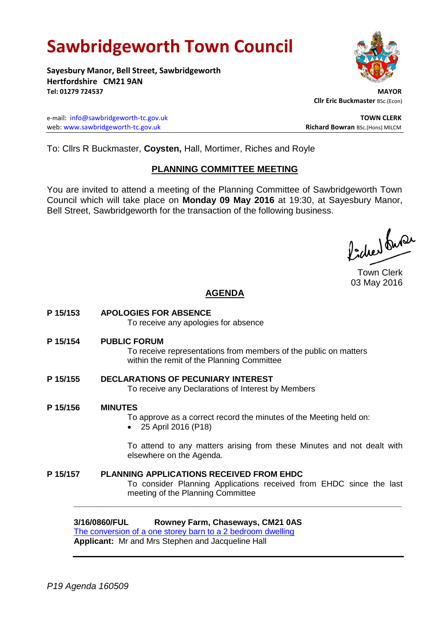# **Sawbridgeworth Town Council**

**Sayesbury Manor, Bell Street, Sawbridgeworth Hertfordshire CM21 9AN Tel: 01279 724537 MAYOR**

e-mail: [info@sawbridgeworth-tc.gov.uk](mailto:info@sawbridgeworth-tc.gov.uk) **TOWN CLERK** web: www.sawbridgeworth-tc.gov.uk<br>
Richard Bowran BSc.(Hons) MILCM



 **Cllr Eric Buckmaster** BSc.(Econ)

To: Cllrs R Buckmaster, **Coysten,** Hall, Mortimer, Riches and Royle

# **PLANNING COMMITTEE MEETING**

You are invited to attend a meeting of the Planning Committee of Sawbridgeworth Town Council which will take place on **Monday 09 May 2016** at 19:30, at Sayesbury Manor, Bell Street, Sawbridgeworth for the transaction of the following business.

ladres buse

Town Clerk 03 May 2016

# **AGENDA**

**P 15/153 APOLOGIES FOR ABSENCE** To receive any apologies for absence **P 15/154 PUBLIC FORUM** To receive representations from members of the public on matters within the remit of the Planning Committee **P 15/155 DECLARATIONS OF PECUNIARY INTEREST** To receive any Declarations of Interest by Members **P 15/156 MINUTES** To approve as a correct record the minutes of the Meeting held on: 25 April 2016 (P18) To attend to any matters arising from these Minutes and not dealt with elsewhere on the Agenda. **P 15/157 PLANNING APPLICATIONS RECEIVED FROM EHDC** To consider Planning Applications received from EHDC since the last meeting of the Planning Committee

**\_\_\_\_\_\_\_\_\_\_\_\_\_\_\_\_\_\_\_\_\_\_\_\_\_\_\_\_\_\_\_\_\_\_\_\_\_\_\_\_\_\_\_\_\_\_\_\_\_\_\_\_\_\_\_\_\_\_\_\_\_\_\_\_\_\_**

**3/16/0860/FUL Rowney Farm, Chaseways, CM21 0AS**

[The conversion of a one storey barn to a 2 bedroom dwelling](https://publicaccess.eastherts.gov.uk/online-applications/applicationDetails.do?activeTab=summary&keyVal=O5GJLMGLJFR00) **Applicant:** Mr and Mrs Stephen and Jacqueline Hall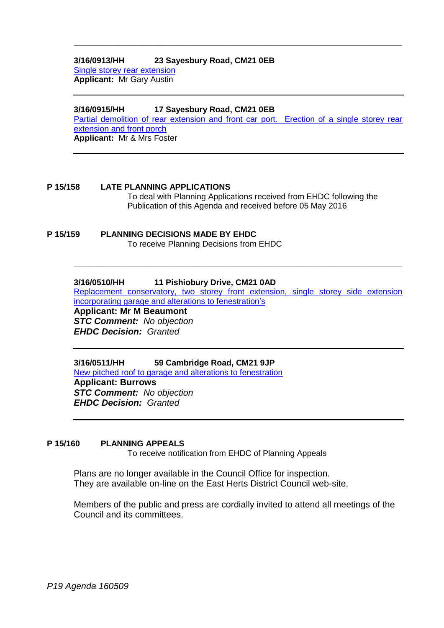## **3/16/0913/HH 23 Sayesbury Road, CM21 0EB**

[Single storey rear extension](https://publicaccess.eastherts.gov.uk/online-applications/applicationDetails.do?activeTab=summary&keyVal=O5TI7IGLJIP00) **Applicant:** Mr Gary Austin

#### **3/16/0915/HH 17 Sayesbury Road, CM21 0EB**

[Partial demolition of rear extension and front car port. Erection of a single storey rear](https://publicaccess.eastherts.gov.uk/online-applications/applicationDetails.do?activeTab=summary&keyVal=O5TN0MGL00X00)  [extension and front porch](https://publicaccess.eastherts.gov.uk/online-applications/applicationDetails.do?activeTab=summary&keyVal=O5TN0MGL00X00) **Applicant:** Mr & Mrs Foster

**\_\_\_\_\_\_\_\_\_\_\_\_\_\_\_\_\_\_\_\_\_\_\_\_\_\_\_\_\_\_\_\_\_\_\_\_\_\_\_\_\_\_\_\_\_\_\_\_\_\_\_\_\_\_\_\_\_\_\_\_\_\_\_\_\_\_**

#### **P 15/158 LATE PLANNING APPLICATIONS** To deal with Planning Applications received from EHDC following the Publication of this Agenda and received before 05 May 2016

#### **P 15/159 PLANNING DECISIONS MADE BY EHDC** To receive Planning Decisions from EHDC

## **3/16/0510/HH 11 Pishiobury Drive, CM21 0AD**

[Replacement conservatory, two storey front extension, single storey side extension](https://publicaccess.eastherts.gov.uk/online-applications/applicationDetails.do?activeTab=summary&keyVal=O3F5VAGLIWK00)  [incorporating garage and alterations to fenestration's](https://publicaccess.eastherts.gov.uk/online-applications/applicationDetails.do?activeTab=summary&keyVal=O3F5VAGLIWK00)

**\_\_\_\_\_\_\_\_\_\_\_\_\_\_\_\_\_\_\_\_\_\_\_\_\_\_\_\_\_\_\_\_\_\_\_\_\_\_\_\_\_\_\_\_\_\_\_\_\_\_\_\_\_\_\_\_\_\_\_\_\_\_\_\_\_\_**

**Applicant: Mr M Beaumont** *STC Comment: No objection EHDC Decision: Granted*

**3/16/0511/HH 59 Cambridge Road, CM21 9JP** [New pitched roof to garage and alterations to fenestration](https://publicaccess.eastherts.gov.uk/online-applications/applicationDetails.do?activeTab=summary&keyVal=O3F5VKGLIWM00) **Applicant: Burrows** *STC Comment: No objection EHDC Decision: Granted*

#### **P 15/160 PLANNING APPEALS**

To receive notification from EHDC of Planning Appeals

Plans are no longer available in the Council Office for inspection. They are available on-line on the East Herts District Council web-site.

Members of the public and press are cordially invited to attend all meetings of the Council and its committees.